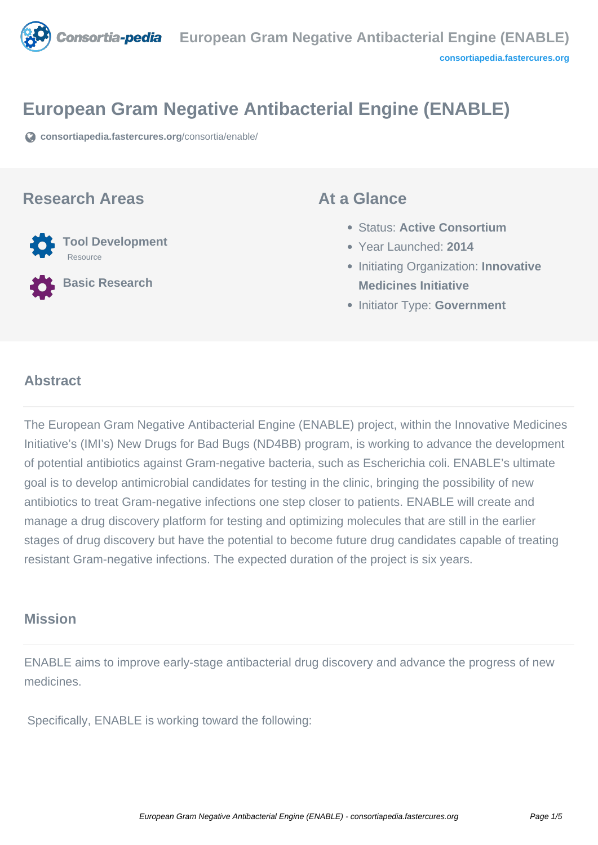

# **European Gram Negative Antibacterial Engine (ENABLE)**

**[consortiapedia.fastercures.org](https://consortiapedia.fastercures.org/consortia/enable/)**[/consortia/enable/](https://consortiapedia.fastercures.org/consortia/enable/)

#### **Research Areas**



**Basic Research**

#### **At a Glance**

- Status: **Active Consortium**
- Year Launched: **2014**
- **Initiating Organization: Innovative Medicines Initiative**
- **Initiator Type: Government**

#### $\overline{a}$ **Abstract**

The European Gram Negative Antibacterial Engine (ENABLE) project, within the Innovative Medicines Initiative's (IMI's) New Drugs for Bad Bugs (ND4BB) program, is working to advance the development of potential antibiotics against Gram-negative bacteria, such as Escherichia coli. ENABLE's ultimate goal is to develop antimicrobial candidates for testing in the clinic, bringing the possibility of new antibiotics to treat Gram-negative infections one step closer to patients. ENABLE will create and manage a drug discovery platform for testing and optimizing molecules that are still in the earlier stages of drug discovery but have the potential to become future drug candidates capable of treating resistant Gram-negative infections. The expected duration of the project is six years.

## **Mission**

ENABLE aims to improve early-stage antibacterial drug discovery and advance the progress of new medicines.

Specifically, ENABLE is working toward the following: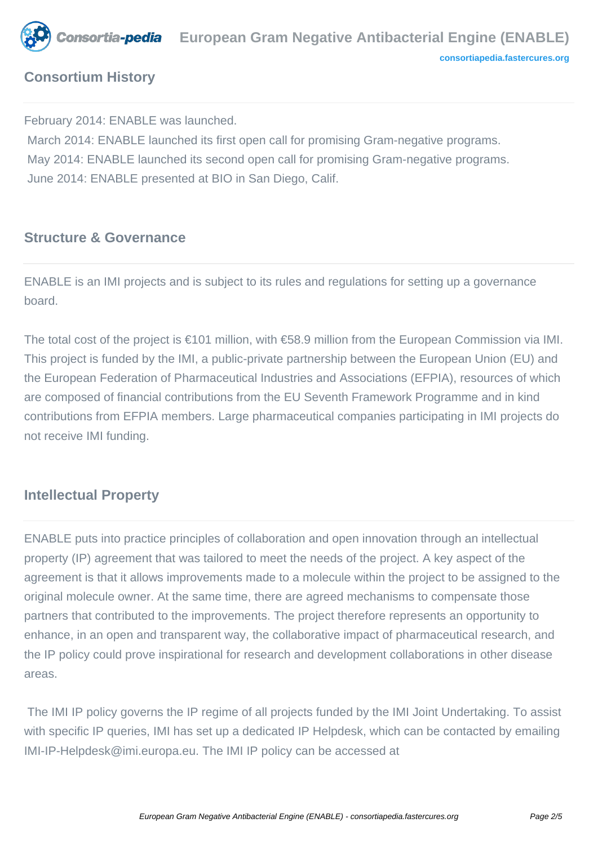

## **Consortium History**

February 2014: ENABLE was launched.

 March 2014: ENABLE launched its first open call for promising Gram-negative programs. May 2014: ENABLE launched its second open call for promising Gram-negative programs. June 2014: ENABLE presented at BIO in San Diego, Calif.

#### **Structure & Governance**

ENABLE is an IMI projects and is subject to its rules and regulations for setting up a governance board.

The total cost of the project is €101 million, with €58.9 million from the European Commission via IMI. This project is funded by the IMI, a public-private partnership between the European Union (EU) and the European Federation of Pharmaceutical Industries and Associations (EFPIA), resources of which are composed of financial contributions from the EU Seventh Framework Programme and in kind contributions from EFPIA members. Large pharmaceutical companies participating in IMI projects do not receive IMI funding.

## **Intellectual Property**

ENABLE puts into practice principles of collaboration and open innovation through an intellectual property (IP) agreement that was tailored to meet the needs of the project. A key aspect of the agreement is that it allows improvements made to a molecule within the project to be assigned to the original molecule owner. At the same time, there are agreed mechanisms to compensate those partners that contributed to the improvements. The project therefore represents an opportunity to enhance, in an open and transparent way, the collaborative impact of pharmaceutical research, and the IP policy could prove inspirational for research and development collaborations in other disease areas.

 The IMI IP policy governs the IP regime of all projects funded by the IMI Joint Undertaking. To assist with specific IP queries, IMI has set up a dedicated IP Helpdesk, which can be contacted by emailing IMI-IP-Helpdesk@imi.europa.eu. The IMI IP policy can be accessed at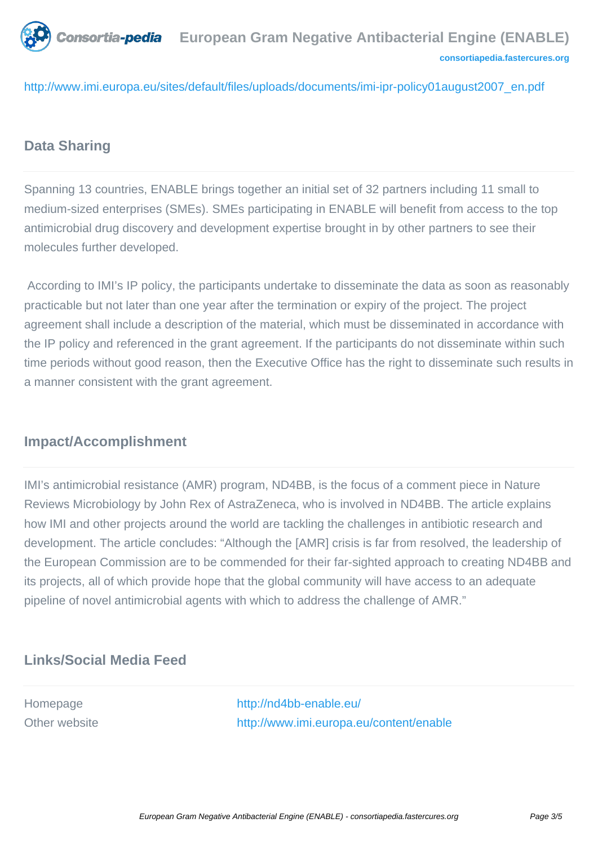**Consortia-pedia** [European Gram Negative Antibacterial Engine \(ENABLE\)](http://www.imi.europa.eu/sites/default/files/uploads/documents/imi-ipr-policy01august2007_en.pdf) **[consortiapedia.fastercures.org](http://consortiapedia.fastercures.org/)**

http://www.imi.europa.eu/sites/default/files/uploads/documents/imi-ipr-policy01august2007\_en.pdf

## **Data Sharing**

Spanning 13 countries, ENABLE brings together an initial set of 32 partners including 11 small to medium-sized enterprises (SMEs). SMEs participating in ENABLE will benefit from access to the top antimicrobial drug discovery and development expertise brought in by other partners to see their molecules further developed.

 According to IMI's IP policy, the participants undertake to disseminate the data as soon as reasonably practicable but not later than one year after the termination or expiry of the project. The project agreement shall include a description of the material, which must be disseminated in accordance with the IP policy and referenced in the grant agreement. If the participants do not disseminate within such time periods without good reason, then the Executive Office has the right to disseminate such results in a manner consistent with the grant agreement.

## **Impact/Accomplishment**

IMI's antimicrobial resistance (AMR) program, ND4BB, is the focus of a comment piece in Nature Reviews Microbiology by John Rex of AstraZeneca, who is involved in ND4BB. The article explains how IMI and other projects around the world are tackling the challenges in antibiotic research and development. The article concludes: "Although the [AMR] crisis is far from resolved, the leadership of the European Commission are to be commended for their far-sighted approach to creating ND4BB and its projects, all of which provide hope that the global community will have access to an adequate pipeline of novel antimicrobial agents with which to address the challenge of AMR."

#### **Links/Social Media Feed**

Homepage <http://nd4bb-enable.eu/> Other website <http://www.imi.europa.eu/content/enable>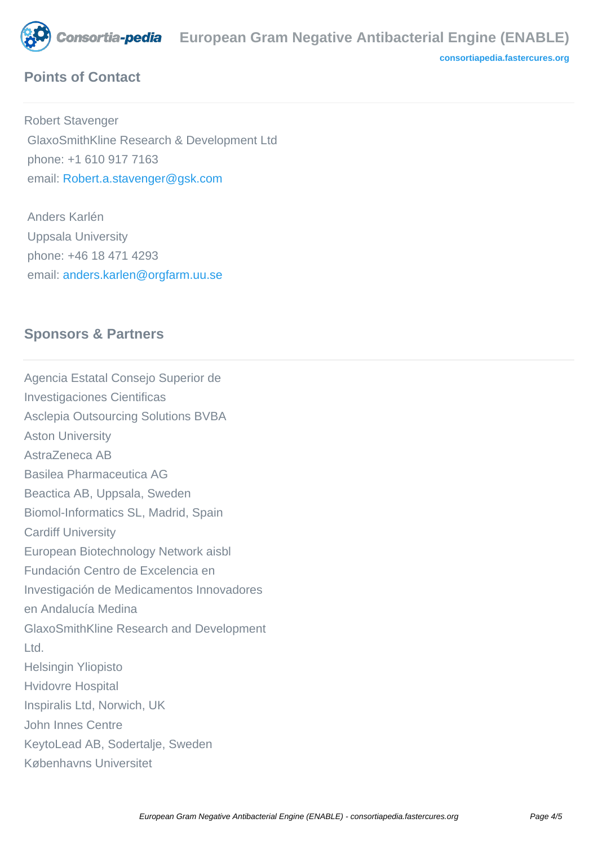

## **Points of Contact**

Robert Stavenger GlaxoSmithKline Research & Development Ltd phone: +1 610 917 7163 email: [Robert.a.stavenger@gsk.com](mailto:Robert.a.stavenger@gsk.com)

 Anders Karlén Uppsala University phone: +46 18 471 4293 email: [anders.karlen@orgfarm.uu.se](mailto:anders.karlen@orgfarm.uu.se)

#### **Sponsors & Partners**

Agencia Estatal Consejo Superior de Investigaciones Cientificas Asclepia Outsourcing Solutions BVBA Aston University AstraZeneca AB Basilea Pharmaceutica AG Beactica AB, Uppsala, Sweden Biomol-Informatics SL, Madrid, Spain Cardiff University European Biotechnology Network aisbl Fundación Centro de Excelencia en Investigación de Medicamentos Innovadores en Andalucía Medina GlaxoSmithKline Research and Development Ltd. Helsingin Yliopisto Hvidovre Hospital Inspiralis Ltd, Norwich, UK John Innes Centre KeytoLead AB, Sodertalje, Sweden Københavns Universitet